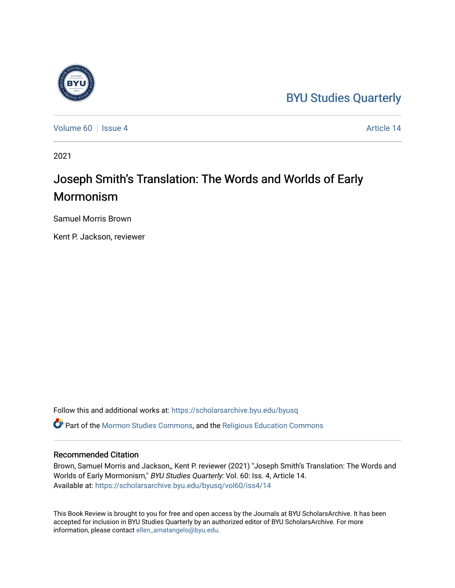## [BYU Studies Quarterly](https://scholarsarchive.byu.edu/byusq)

[Volume 60](https://scholarsarchive.byu.edu/byusq/vol60) | [Issue 4](https://scholarsarchive.byu.edu/byusq/vol60/iss4) Article 14

2021

## Joseph Smith's Translation: The Words and Worlds of Early Mormonism

Samuel Morris Brown

Kent P. Jackson, reviewer

Follow this and additional works at: [https://scholarsarchive.byu.edu/byusq](https://scholarsarchive.byu.edu/byusq?utm_source=scholarsarchive.byu.edu%2Fbyusq%2Fvol60%2Fiss4%2F14&utm_medium=PDF&utm_campaign=PDFCoverPages)  Part of the [Mormon Studies Commons](http://network.bepress.com/hgg/discipline/1360?utm_source=scholarsarchive.byu.edu%2Fbyusq%2Fvol60%2Fiss4%2F14&utm_medium=PDF&utm_campaign=PDFCoverPages), and the [Religious Education Commons](http://network.bepress.com/hgg/discipline/1414?utm_source=scholarsarchive.byu.edu%2Fbyusq%2Fvol60%2Fiss4%2F14&utm_medium=PDF&utm_campaign=PDFCoverPages) 

## Recommended Citation

Brown, Samuel Morris and Jackson,, Kent P. reviewer (2021) "Joseph Smith's Translation: The Words and Worlds of Early Mormonism," BYU Studies Quarterly: Vol. 60: Iss. 4, Article 14. Available at: [https://scholarsarchive.byu.edu/byusq/vol60/iss4/14](https://scholarsarchive.byu.edu/byusq/vol60/iss4/14?utm_source=scholarsarchive.byu.edu%2Fbyusq%2Fvol60%2Fiss4%2F14&utm_medium=PDF&utm_campaign=PDFCoverPages) 

This Book Review is brought to you for free and open access by the Journals at BYU ScholarsArchive. It has been accepted for inclusion in BYU Studies Quarterly by an authorized editor of BYU ScholarsArchive. For more information, please contact [ellen\\_amatangelo@byu.edu.](mailto:ellen_amatangelo@byu.edu)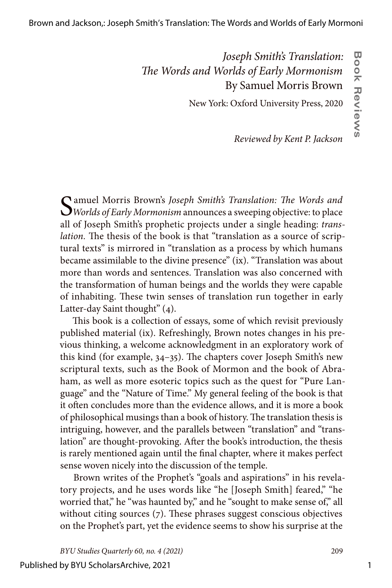## *Joseph Smith's Translation: The Words and Worlds of Early Mormonism* By Samuel Morris Brown

New York: Oxford University Press, 2020

*Reviewed by Kent P. Jackson*

Samuel Morris Brown's *Joseph Smith's Translation: The Words and Worlds of Early Mormonism* announces a sweeping objective: to place all of Joseph Smith's prophetic projects under a single heading: *translation.* The thesis of the book is that "translation as a source of scriptural texts" is mirrored in "translation as a process by which humans became assimilable to the divine presence" (ix). "Translation was about more than words and sentences. Translation was also concerned with the transformation of human beings and the worlds they were capable of inhabiting. These twin senses of translation run together in early Latter-day Saint thought" (4).

This book is a collection of essays, some of which revisit previously published material (ix). Refreshingly, Brown notes changes in his previous thinking, a welcome acknowledgment in an exploratory work of this kind (for example, 34–35). The chapters cover Joseph Smith's new scriptural texts, such as the Book of Mormon and the book of Abraham, as well as more esoteric topics such as the quest for "Pure Language" and the "Nature of Time." My general feeling of the book is that it often concludes more than the evidence allows, and it is more a book of philosophical musings than a book of history. The translation thesis is intriguing, however, and the parallels between "translation" and "translation" are thought-provoking. After the book's introduction, the thesis is rarely mentioned again until the final chapter, where it makes perfect sense woven nicely into the discussion of the temple.

Brown writes of the Prophet's "goals and aspirations" in his revelatory projects, and he uses words like "he [Joseph Smith] feared," "he worried that," he "was haunted by," and he "sought to make sense of," all without citing sources (7). These phrases suggest conscious objectives on the Prophet's part, yet the evidence seems to show his surprise at the

Published by BYU ScholarsArchive, 2021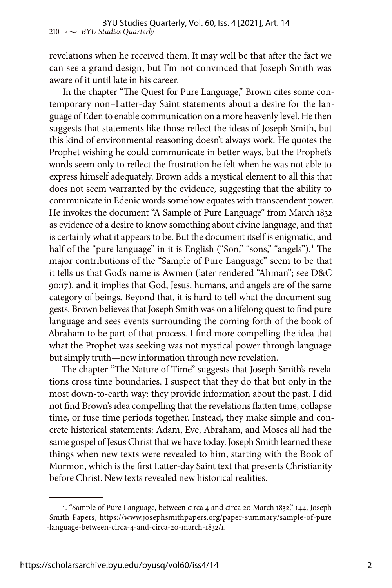revelations when he received them. It may well be that after the fact we can see a grand design, but I'm not convinced that Joseph Smith was aware of it until late in his career.

In the chapter "The Quest for Pure Language," Brown cites some contemporary non–Latter-day Saint statements about a desire for the language of Eden to enable communication on a more heavenly level. He then suggests that statements like those reflect the ideas of Joseph Smith, but this kind of environmental reasoning doesn't always work. He quotes the Prophet wishing he could communicate in better ways, but the Prophet's words seem only to reflect the frustration he felt when he was not able to express himself adequately. Brown adds a mystical element to all this that does not seem warranted by the evidence, suggesting that the ability to communicate in Edenic words somehow equates with transcendent power. He invokes the document "A Sample of Pure Language" from March 1832 as evidence of a desire to know something about divine language, and that is certainly what it appears to be. But the document itself is enigmatic, and half of the "pure language" in it is English ("Son," "sons," "angels").<sup>1</sup> The major contributions of the "Sample of Pure Language" seem to be that it tells us that God's name is Awmen (later rendered "Ahman"; see D&C 90:17), and it implies that God, Jesus, humans, and angels are of the same category of beings. Beyond that, it is hard to tell what the document suggests. Brown believes that Joseph Smith was on a lifelong quest to find pure language and sees events surrounding the coming forth of the book of Abraham to be part of that process. I find more compelling the idea that what the Prophet was seeking was not mystical power through language but simply truth—new information through new revelation.

The chapter "The Nature of Time" suggests that Joseph Smith's revelations cross time boundaries. I suspect that they do that but only in the most down-to-earth way: they provide information about the past. I did not find Brown's idea compelling that the revelations flatten time, collapse time, or fuse time periods together. Instead, they make simple and concrete historical statements: Adam, Eve, Abraham, and Moses all had the same gospel of Jesus Christ that we have today. Joseph Smith learned these things when new texts were revealed to him, starting with the Book of Mormon, which is the first Latter-day Saint text that presents Christianity before Christ. New texts revealed new historical realities.

<sup>1. &</sup>quot;Sample of Pure Language, between circa 4 and circa 20 March 1832," 144, Joseph Smith Papers, https://www.josephsmithpapers.org/paper-summary/sample-of-pure -language-between-circa-4-and-circa-20-march-1832/1.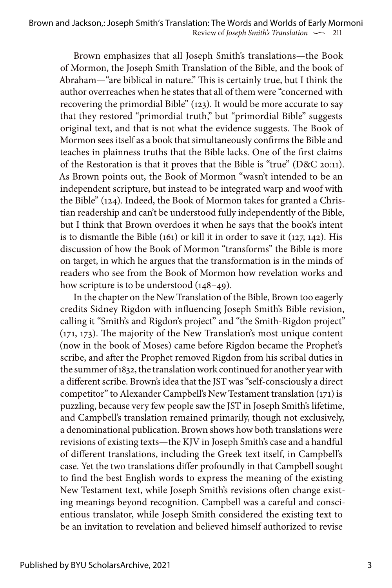Brown emphasizes that all Joseph Smith's translations—the Book of Mormon, the Joseph Smith Translation of the Bible, and the book of Abraham—"are biblical in nature." This is certainly true, but I think the author overreaches when he states that all of them were "concerned with recovering the primordial Bible" (123). It would be more accurate to say that they restored "primordial truth," but "primordial Bible" suggests original text, and that is not what the evidence suggests. The Book of Mormon sees itself as a book that simultaneously confirms the Bible and teaches in plainness truths that the Bible lacks. One of the first claims of the Restoration is that it proves that the Bible is "true" (D&C 20:11). As Brown points out, the Book of Mormon "wasn't intended to be an independent scripture, but instead to be integrated warp and woof with the Bible" (124). Indeed, the Book of Mormon takes for granted a Christian readership and can't be understood fully independently of the Bible, but I think that Brown overdoes it when he says that the book's intent is to dismantle the Bible (161) or kill it in order to save it (127, 142). His discussion of how the Book of Mormon "transforms" the Bible is more on target, in which he argues that the transformation is in the minds of readers who see from the Book of Mormon how revelation works and how scripture is to be understood  $(148-49)$ .

In the chapter on the New Translation of the Bible, Brown too eagerly credits Sidney Rigdon with influencing Joseph Smith's Bible revision, calling it "Smith's and Rigdon's project" and "the Smith-Rigdon project" (171, 173). The majority of the New Translation's most unique content (now in the book of Moses) came before Rigdon became the Prophet's scribe, and after the Prophet removed Rigdon from his scribal duties in the summer of 1832, the translation work continued for another year with a different scribe. Brown's idea that the JST was "self-consciously a direct competitor" to Alexander Campbell's New Testament translation (171) is puzzling, because very few people saw the JST in Joseph Smith's lifetime, and Campbell's translation remained primarily, though not exclusively, a denominational publication. Brown shows how both translations were revisions of existing texts—the KJV in Joseph Smith's case and a handful of different translations, including the Greek text itself, in Campbell's case. Yet the two translations differ profoundly in that Campbell sought to find the best English words to express the meaning of the existing New Testament text, while Joseph Smith's revisions often change existing meanings beyond recognition. Campbell was a careful and conscientious translator, while Joseph Smith considered the existing text to be an invitation to revelation and believed himself authorized to revise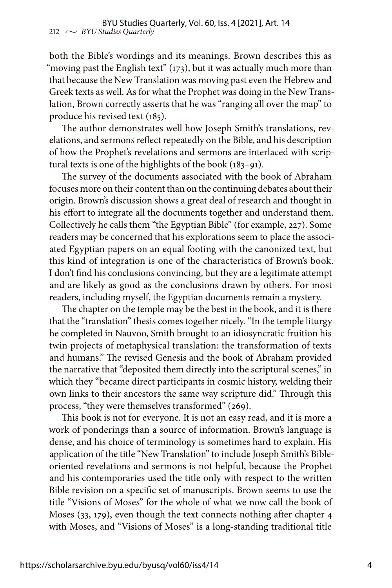both the Bible's wordings and its meanings. Brown describes this as "moving past the English text" (173), but it was actually much more than that because the New Translation was moving past even the Hebrew and Greek texts as well. As for what the Prophet was doing in the New Translation, Brown correctly asserts that he was "ranging all over the map" to produce his revised text (185).

The author demonstrates well how Joseph Smith's translations, revelations, and sermons reflect repeatedly on the Bible, and his description of how the Prophet's revelations and sermons are interlaced with scriptural texts is one of the highlights of the book (183–91).

The survey of the documents associated with the book of Abraham focuses more on their content than on the continuing debates about their origin. Brown's discussion shows a great deal of research and thought in his effort to integrate all the documents together and understand them. Collectively he calls them "the Egyptian Bible" (for example, 227). Some readers may be concerned that his explorations seem to place the associated Egyptian papers on an equal footing with the canonized text, but this kind of integration is one of the characteristics of Brown's book. I don't find his conclusions convincing, but they are a legitimate attempt and are likely as good as the conclusions drawn by others. For most readers, including myself, the Egyptian documents remain a mystery.

The chapter on the temple may be the best in the book, and it is there that the "translation" thesis comes together nicely. "In the temple liturgy he completed in Nauvoo, Smith brought to an idiosyncratic fruition his twin projects of metaphysical translation: the transformation of texts and humans." The revised Genesis and the book of Abraham provided the narrative that "deposited them directly into the scriptural scenes," in which they "became direct participants in cosmic history, welding their own links to their ancestors the same way scripture did." Through this process, "they were themselves transformed" (269).

This book is not for everyone. It is not an easy read, and it is more a work of ponderings than a source of information. Brown's language is dense, and his choice of terminology is sometimes hard to explain. His application of the title "New Translation" to include Joseph Smith's Bibleoriented revelations and sermons is not helpful, because the Prophet and his contemporaries used the title only with respect to the written Bible revision on a specific set of manuscripts. Brown seems to use the title "Visions of Moses" for the whole of what we now call the book of Moses (33, 179), even though the text connects nothing after chapter 4 with Moses, and "Visions of Moses" is a long-standing traditional title